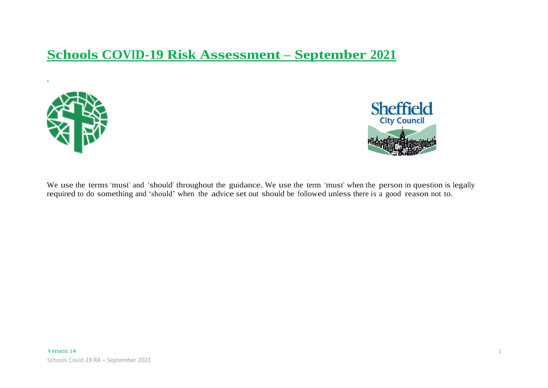# **Schools COVID-19 Risk Assessment – September 2021**



.



We use the terms 'must' and 'should' throughout the guidance. We use the term 'must' when the person in question is legally required to do something and 'should' when the advice set out should be followed unless there is a good reason not to.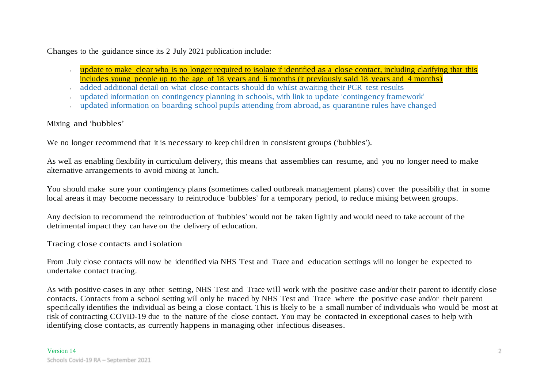Changes to the guidance since its 2 July 2021 publication include:

- update to make clear who is no longer required to isolate if identified as a close contact, including clarifying that this includes young people up to the age of 18 years and 6 months (it previously said 18 years and 4 months)
- added additional detail on what close contacts should do whilst awaiting their PCR test results
- updated information on contingency planning in schools, with link to update 'contingency framework'
- updated information on boarding school pupils attending from abroad, as quarantine rules have changed

### Mixing and 'bubbles'

We no longer recommend that it is necessary to keep children in consistent groups ('bubbles').

As well as enabling flexibility in curriculum delivery, this means that assemblies can resume, and you no longer need to make alternative arrangements to avoid mixing at lunch.

You should make sure your contingency plans (sometimes called outbreak management plans) cover the possibility that in some local areas it may become necessary to reintroduce 'bubbles' for a temporary period, to reduce mixing between groups.

Any decision to recommend the reintroduction of 'bubbles' would not be taken lightly and would need to take account of the detrimental impact they can have on the delivery of education.

Tracing close contacts and isolation

From July close contacts will now be identified via NHS Test and Trace and education settings will no longer be expected to undertake contact tracing.

As with positive cases in any other setting, NHS Test and Trace will work with the positive case and/or their parent to identify close contacts. Contacts from a school setting will only be traced by NHS Test and Trace where the positive case and/or their parent specifically identifies the individual as being a close contact. This is likely to be a small number of individuals who would be most at risk of contracting COVID-19 due to the nature of the close contact. You may be contacted in exceptional cases to help with identifying close contacts, as currently happens in managing other infectious diseases.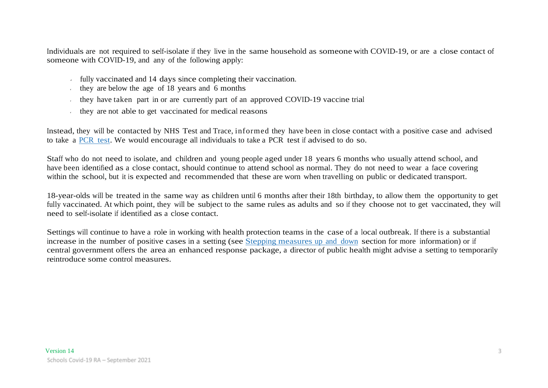Individuals are not required to self-isolate if they live in the same household as someone with COVID-19, or are a close contact of someone with COVID-19, and any of the following apply:

- fully vaccinated and 14 days since completing their vaccination.
- they are below the age of  $18$  years and  $6$  months
- $\cdot$  they have taken part in or are currently part of an approved COVID-19 vaccine trial
- they are not able to get vaccinated for medical reasons

Instead, they will be contacted by NHS Test and Trace, informed they have been in close contact with a positive case and advised to take a PCR test. We would encourage all individuals to take a PCR test if advised to do so.

Staff who do not need to isolate, and children and young people aged under 18 years 6 months who usually attend school, and have been identified as a close contact, should continue to attend school as normal. They do not need to wear a face covering within the school, but it is expected and recommended that these are worn when travelling on public or dedicated transport.

18-year-olds will be treated in the same way as children until 6 months after their 18th birthday, to allow them the opportunity to get fully vaccinated. At which point, they will be subject to the same rules as adults and so if they choose not to get vaccinated, they will need to self-isolate if identified as a close contact.

Settings will continue to have a role in working with health protection teams in the case of a local outbreak. If there is a substantial increase in the number of positive cases in a setting (see Stepping measures up and down section for more information) or if central government offers the area an enhanced response package, a director of public health might advise a setting to temporarily reintroduce some control measures.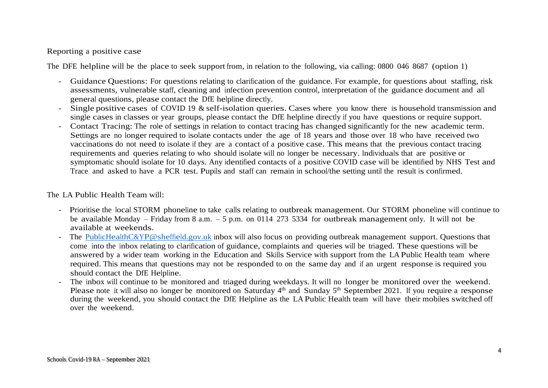### Reporting a positive case

The DFE helpline will be the place to seek support from, in relation to the following, via calling: 0800 046 8687 (option 1)

- Guidance Questions: For questions relating to clarification of the guidance. For example, for questions about staffing, risk assessments, vulnerable staff, cleaning and infection prevention control, interpretation of the guidance document and all general questions, please contact the DfE helpline directly.
- Single positive cases of COVID 19 & self-isolation queries. Cases where you know there is household transmission and single cases in classes or year groups, please contact the DfE helpline directly if you have questions or require support.
- Contact Tracing: The role of settings in relation to contact tracing has changed significantly for the new academic term. Settings are no longer required to isolate contacts under the age of 18 years and those over 18 who have received two vaccinations do not need to isolate if they are a contact of a positive case. This means that the previous contact tracing requirements and queries relating to who should isolate will no longer be necessary. Individuals that are positive or symptomatic should isolate for 10 days. Any identified contacts of a positive COVID case will be identified by NHS Test and Trace and asked to have a PCR test. Pupils and staff can remain in school/the setting until the result is confirmed.

### The LA Public Health Team will:

- Prioritise the local STORM phoneline to take calls relating to outbreak management. Our STORM phoneline will continue to be available Monday – Friday from 8 a.m. – 5 p.m. on 0114 273 5334 for outbreak management only. It will not be available at weekends.
- The [PublicHealthC&YP@sheffield.gov.uk](mailto:PublicHealthC&YP@sheffield.gov.uk) inbox will also focus on providing outbreak management support. Questions that come into the inbox relating to clarification of guidance, complaints and queries will be triaged. These questions will be answered by a wider team working in the Education and Skills Service with support from the LA Public Health team where required. This means that questions may not be responded to on the same day and if an urgent response is required you should contact the DfE Helpline.
- The inbox will continue to be monitored and triaged during weekdays. It will no longer be monitored over the weekend. Please note it will also no longer be monitored on Saturday 4<sup>th</sup> and Sunday 5<sup>th</sup> September 2021. If you require a response during the weekend, you should contact the DfE Helpline as the LA Public Health team will have their mobiles switched off over the weekend.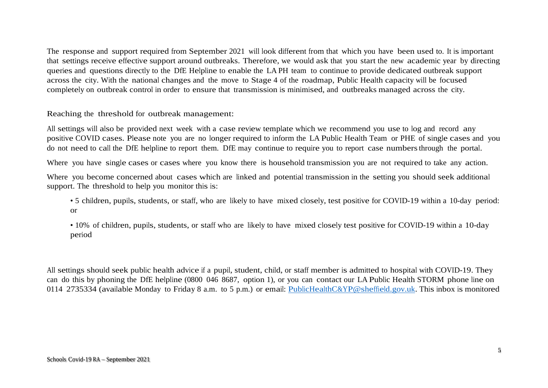The response and support required from September 2021 will look different from that which you have been used to. It is important that settings receive effective support around outbreaks. Therefore, we would ask that you start the new academic year by directing queries and questions directly to the DfE Helpline to enable the LA PH team to continue to provide dedicated outbreak support across the city. With the national changes and the move to Stage 4 of the roadmap, Public Health capacity will be focused completely on outbreak control in order to ensure that transmission is minimised, and outbreaks managed across the city.

Reaching the threshold for outbreak management:

All settings will also be provided next week with a case review template which we recommend you use to log and record any positive COVID cases. Please note you are no longer required to inform the LA Public Health Team or PHE of single cases and you do not need to call the DfE helpline to report them. DfE may continue to require you to report case numbersthrough the portal.

Where you have single cases or cases where you know there is household transmission you are not required to take any action.

Where you become concerned about cases which are linked and potential transmission in the setting you should seek additional support. The threshold to help you monitor this is:

• 5 children, pupils, students, or staff, who are likely to have mixed closely, test positive for COVID-19 within a 10-day period: or

• 10% of children, pupils, students, or staff who are likely to have mixed closely test positive for COVID-19 within a 10-day period

All settings should seek public health advice if a pupil, student, child, or staff member is admitted to hospital with COVID-19. They can do this by phoning the DfE helpline (0800 046 8687, option 1), or you can contact our LA Public Health STORM phone line on 0114 2735334 (available Monday to Friday 8 a.m. to 5 p.m.) or email: [PublicHealthC&YP@sheffield.gov.uk.](mailto:PublicHealthC&YP@sheffield.gov.uk) This inbox is monitored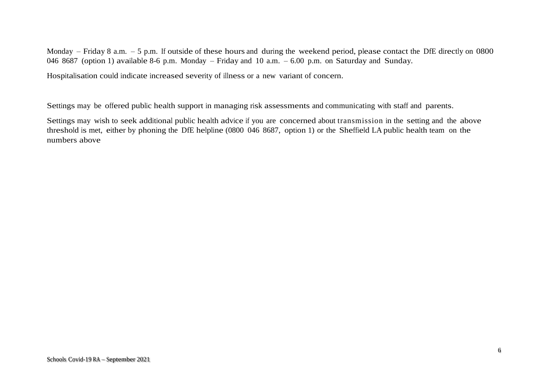Monday – Friday 8 a.m. – 5 p.m. If outside of these hours and during the weekend period, please contact the DfE directly on 0800 046 8687 (option 1) available 8-6 p.m. Monday – Friday and 10 a.m. – 6.00 p.m. on Saturday and Sunday.

Hospitalisation could indicate increased severity of illness or a new variant of concern.

Settings may be offered public health support in managing risk assessments and communicating with staff and parents.

Settings may wish to seek additional public health advice if you are concerned about transmission in the setting and the above threshold is met, either by phoning the DfE helpline (0800 046 8687, option 1) or the Sheffield LA public health team on the numbers above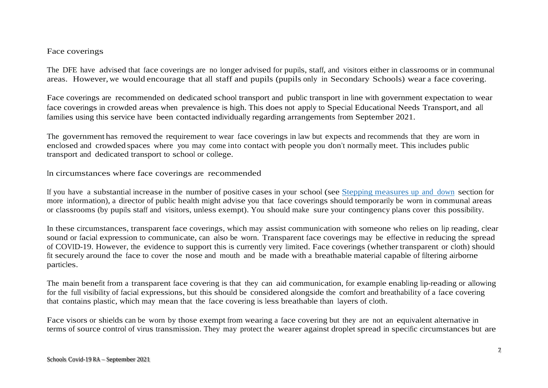### Face coverings

The DFE have advised that face coverings are no longer advised for pupils, staff, and visitors either in classrooms or in communal areas. However, we would encourage that all staff and pupils (pupils only in Secondary Schools) wear a face covering.

Face coverings are recommended on dedicated school transport and public transport in line with government expectation to wear face coverings in crowded areas when prevalence is high. This does not apply to Special Educational Needs Transport, and all families using this service have been contacted individually regarding arrangements from September 2021.

The government has removed the requirement to wear face coverings in law but expects and recommends that they are worn in enclosed and crowded spaces where you may come into contact with people you don't normally meet. This includes public transport and dedicated transport to school or college.

In circumstances where face coverings are recommended

If you have a substantial increase in the number of positive cases in your school (see Stepping measures up and down section for more information), a director of public health might advise you that face coverings should temporarily be worn in communal areas or classrooms (by pupils staff and visitors, unless exempt). You should make sure your contingency plans cover this possibility.

In these circumstances, transparent face coverings, which may assist communication with someone who relies on lip reading, clear sound or facial expression to communicate, can also be worn. Transparent face coverings may be effective in reducing the spread of COVID-19. However, the evidence to support this is currently very limited. Face coverings (whether transparent or cloth) should fit securely around the face to cover the nose and mouth and be made with a breathable material capable of filtering airborne particles.

The main benefit from a transparent face covering is that they can aid communication, for example enabling lip-reading or allowing for the full visibility of facial expressions, but this should be considered alongside the comfort and breathability of a face covering that contains plastic, which may mean that the face covering is less breathable than layers of cloth.

Face visors or shields can be worn by those exempt from wearing a face covering but they are not an equivalent alternative in terms of source control of virus transmission. They may protect the wearer against droplet spread in specific circumstances but are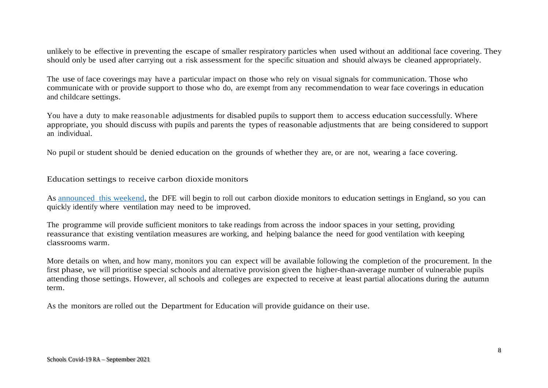unlikely to be effective in preventing the escape of smaller respiratory particles when used without an additional face covering. They should only be used after carrying out a risk assessment for the specific situation and should always be cleaned appropriately.

The use of face coverings may have a particular impact on those who rely on visual signals for communication. Those who communicate with or provide support to those who do, are exempt from any recommendation to wear face coverings in education and childcare settings.

You have a duty to make reasonable adjustments for disabled pupils to support them to access education successfully. Where appropriate, you should discuss with pupils and parents the types of reasonable adjustments that are being considered to support an individual.

No pupil or student should be denied education on the grounds of whether they are, or are not, wearing a face covering.

Education settings to receive carbon dioxide monitors

As announced this weekend, the DFE will begin to roll out carbon dioxide monitors to education settings in England, so you can quickly identify where ventilation may need to be improved.

The programme will provide sufficient monitors to take readings from across the indoor spaces in your setting, providing reassurance that existing ventilation measures are working, and helping balance the need for good ventilation with keeping classrooms warm.

More details on when, and how many, monitors you can expect will be available following the completion of the procurement. In the first phase, we will prioritise special schools and alternative provision given the higher-than-average number of vulnerable pupils attending those settings. However, all schools and colleges are expected to receive at least partial allocations during the autumn term.

As the monitors are rolled out the Department for Education will provide guidance on their use.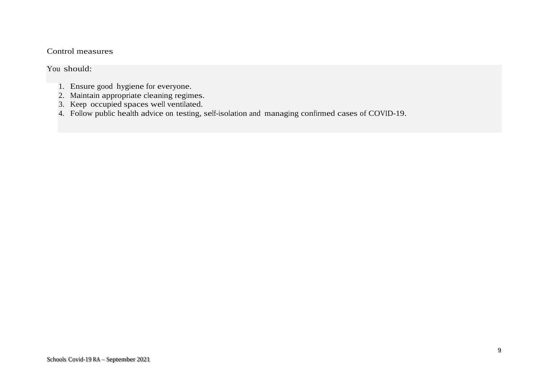### Control measures

### You should:

- 1. Ensure good hygiene for everyone.
- 2. Maintain appropriate cleaning regimes.
- 3. Keep occupied spaces well ventilated.
- 4. Follow public health advice on testing, self-isolation and managing confirmed cases of COVID-19.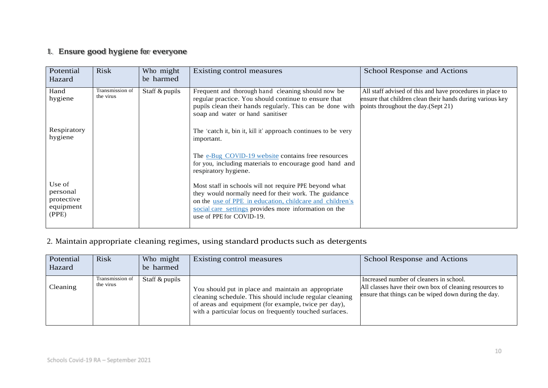### 1. Ensure good hygiene for everyone

| Potential<br>Hazard                                    | <b>Risk</b>                  | Who might<br>be harmed | Existing control measures                                                                                                                                                                                                                                        | School Response and Actions                                                                                                                                    |
|--------------------------------------------------------|------------------------------|------------------------|------------------------------------------------------------------------------------------------------------------------------------------------------------------------------------------------------------------------------------------------------------------|----------------------------------------------------------------------------------------------------------------------------------------------------------------|
| Hand<br>hygiene                                        | Transmission of<br>the virus | Staff & pupils         | Frequent and thorough hand cleaning should now be<br>regular practice. You should continue to ensure that<br>pupils clean their hands regularly. This can be done with<br>soap and water or hand sanitiser                                                       | All staff advised of this and have procedures in place to<br>ensure that children clean their hands during various key<br>points throughout the day. (Sept 21) |
| Respiratory<br>hygiene                                 |                              |                        | The 'catch it, bin it, kill it' approach continues to be very<br>important.                                                                                                                                                                                      |                                                                                                                                                                |
|                                                        |                              |                        | The e-Bug COVID-19 website contains free resources<br>for you, including materials to encourage good hand and<br>respiratory hygiene.                                                                                                                            |                                                                                                                                                                |
| Use of<br>personal<br>protective<br>equipment<br>(PPE) |                              |                        | Most staff in schools will not require PPE beyond what<br>they would normally need for their work. The guidance<br>on the use of PPE in education, childcare and children's<br>social care settings provides more information on the<br>use of PPE for COVID-19. |                                                                                                                                                                |

### 2. Maintain appropriate cleaning regimes, using standard products such as detergents

| Potential<br>Hazard | <b>Risk</b>                  | Who might<br>be harmed | Existing control measures                                                                                                                                                                                                         | School Response and Actions                                                                                                                                |
|---------------------|------------------------------|------------------------|-----------------------------------------------------------------------------------------------------------------------------------------------------------------------------------------------------------------------------------|------------------------------------------------------------------------------------------------------------------------------------------------------------|
| Cleaning            | Transmission of<br>the virus | Staff & pupils         | You should put in place and maintain an appropriate<br>cleaning schedule. This should include regular cleaning<br>of areas and equipment (for example, twice per day),<br>with a particular focus on frequently touched surfaces. | Increased number of cleaners in school.<br>All classes have their own box of cleaning resources to<br>ensure that things can be wiped down during the day. |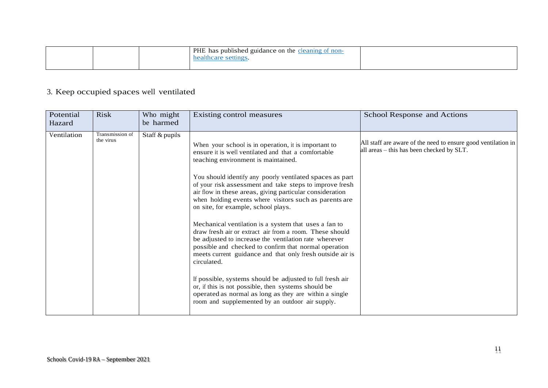|  | <b>PHE</b> has published guidance on the cleaning of non-<br>healthcare settings. |  |
|--|-----------------------------------------------------------------------------------|--|
|  |                                                                                   |  |

# 3. Keep occupied spaces well ventilated

| Potential<br>Hazard | <b>Risk</b>                  | Who might<br>be harmed | Existing control measures                                                                                                                                                                                                                                                                                                                                                                                                                                                                                                                                                                                                                                                                                                                                                                                                                                                                                                                                                                 | School Response and Actions                                                                                |
|---------------------|------------------------------|------------------------|-------------------------------------------------------------------------------------------------------------------------------------------------------------------------------------------------------------------------------------------------------------------------------------------------------------------------------------------------------------------------------------------------------------------------------------------------------------------------------------------------------------------------------------------------------------------------------------------------------------------------------------------------------------------------------------------------------------------------------------------------------------------------------------------------------------------------------------------------------------------------------------------------------------------------------------------------------------------------------------------|------------------------------------------------------------------------------------------------------------|
| Ventilation         | Transmission of<br>the virus | Staff & pupils         | When your school is in operation, it is important to<br>ensure it is well ventilated and that a comfortable<br>teaching environment is maintained.<br>You should identify any poorly ventilated spaces as part<br>of your risk assessment and take steps to improve fresh<br>air flow in these areas, giving particular consideration<br>when holding events where visitors such as parents are<br>on site, for example, school plays.<br>Mechanical ventilation is a system that uses a fan to<br>draw fresh air or extract air from a room. These should<br>be adjusted to increase the ventilation rate wherever<br>possible and checked to confirm that normal operation<br>meets current guidance and that only fresh outside air is<br>circulated.<br>If possible, systems should be adjusted to full fresh air<br>or, if this is not possible, then systems should be<br>operated as normal as long as they are within a single<br>room and supplemented by an outdoor air supply. | All staff are aware of the need to ensure good ventilation in<br>all areas - this has been checked by SLT. |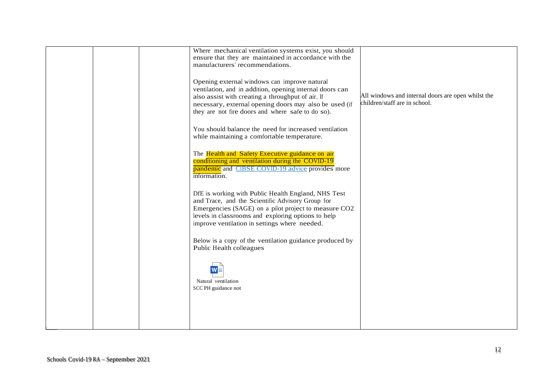|  | Where mechanical ventilation systems exist, you should<br>ensure that they are maintained in accordance with the<br>manufacturers' recommendations.                                                                                                                          |                                                                                     |
|--|------------------------------------------------------------------------------------------------------------------------------------------------------------------------------------------------------------------------------------------------------------------------------|-------------------------------------------------------------------------------------|
|  | Opening external windows can improve natural<br>ventilation, and in addition, opening internal doors can<br>also assist with creating a throughput of air. If<br>necessary, external opening doors may also be used (if<br>they are not fire doors and where safe to do so). | All windows and internal doors are open whilst the<br>children/staff are in school. |
|  | You should balance the need for increased ventilation<br>while maintaining a comfortable temperature.                                                                                                                                                                        |                                                                                     |
|  | The Health and Safety Executive guidance on air<br>conditioning and ventilation during the COVID-19<br>pandemic and CIBSE COVID-19 advice provides more<br>information.                                                                                                      |                                                                                     |
|  | DfE is working with Public Health England, NHS Test<br>and Trace, and the Scientific Advisory Group for<br>Emergencies (SAGE) on a pilot project to measure CO2<br>levels in classrooms and exploring options to help<br>improve ventilation in settings where needed.       |                                                                                     |
|  | Below is a copy of the ventilation guidance produced by<br>Public Health colleagues                                                                                                                                                                                          |                                                                                     |
|  | Natural ventilation                                                                                                                                                                                                                                                          |                                                                                     |
|  | SCC PH guidance not                                                                                                                                                                                                                                                          |                                                                                     |
|  |                                                                                                                                                                                                                                                                              |                                                                                     |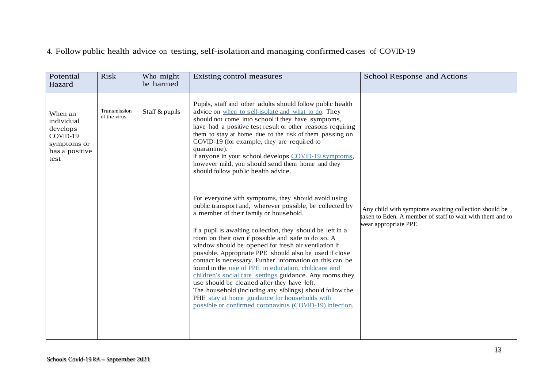### 4. Follow public health advice on testing, self-isolation and managing confirmed cases of COVID-19

| Potential<br>Hazard                                                                    | <b>Risk</b>                  | Who might<br>be harmed | Existing control measures                                                                                                                                                                                                                                                                                                                                                                                                                                                                                                                                                                                                                                                                                                                                                                              | School Response and Actions                                                                                                                 |
|----------------------------------------------------------------------------------------|------------------------------|------------------------|--------------------------------------------------------------------------------------------------------------------------------------------------------------------------------------------------------------------------------------------------------------------------------------------------------------------------------------------------------------------------------------------------------------------------------------------------------------------------------------------------------------------------------------------------------------------------------------------------------------------------------------------------------------------------------------------------------------------------------------------------------------------------------------------------------|---------------------------------------------------------------------------------------------------------------------------------------------|
| When an<br>individual<br>develops<br>COVID-19<br>symptoms or<br>has a positive<br>test | Transmission<br>of the virus | Staff & pupils         | Pupils, staff and other adults should follow public health<br>advice on when to self-isolate and what to do. They<br>should not come into school if they have symptoms,<br>have had a positive test result or other reasons requiring<br>them to stay at home due to the risk of them passing on<br>COVID-19 (for example, they are required to<br>quarantine).<br>If anyone in your school develops COVID-19 symptoms,<br>however mild, you should send them home and they<br>should follow public health advice.                                                                                                                                                                                                                                                                                     |                                                                                                                                             |
|                                                                                        |                              |                        | For everyone with symptoms, they should avoid using<br>public transport and, wherever possible, be collected by<br>a member of their family or household.<br>If a pupil is awaiting collection, they should be left in a<br>room on their own if possible and safe to do so. A<br>window should be opened for fresh air ventilation if<br>possible. Appropriate PPE should also be used if close<br>contact is necessary. Further information on this can be<br>found in the use of PPE in education, childcare and<br>children's social care settings guidance. Any rooms they<br>use should be cleaned after they have left.<br>The household (including any siblings) should follow the<br>PHE stay at home guidance for households with<br>possible or confirmed coronavirus (COVID-19) infection. | Any child with symptoms awaiting collection should be<br>taken to Eden. A member of staff to wait with them and to<br>wear appropriate PPE. |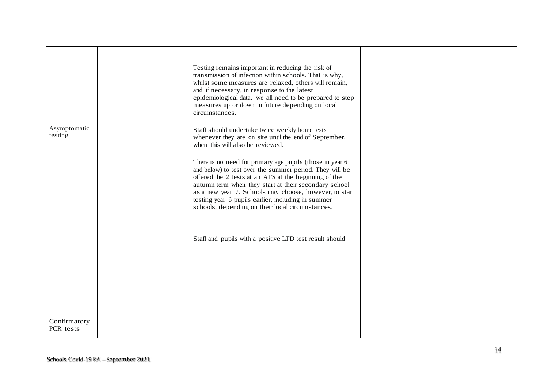| Asymptomatic<br>testing   |  | Testing remains important in reducing the risk of<br>transmission of infection within schools. That is why,<br>whilst some measures are relaxed, others will remain,<br>and if necessary, in response to the latest<br>epidemiological data, we all need to be prepared to step<br>measures up or down in future depending on local<br>circumstances.<br>Staff should undertake twice weekly home tests<br>whenever they are on site until the end of September,<br>when this will also be reviewed.<br>There is no need for primary age pupils (those in year 6<br>and below) to test over the summer period. They will be<br>offered the 2 tests at an ATS at the beginning of the<br>autumn term when they start at their secondary school<br>as a new year 7. Schools may choose, however, to start<br>testing year 6 pupils earlier, including in summer<br>schools, depending on their local circumstances. |  |
|---------------------------|--|-------------------------------------------------------------------------------------------------------------------------------------------------------------------------------------------------------------------------------------------------------------------------------------------------------------------------------------------------------------------------------------------------------------------------------------------------------------------------------------------------------------------------------------------------------------------------------------------------------------------------------------------------------------------------------------------------------------------------------------------------------------------------------------------------------------------------------------------------------------------------------------------------------------------|--|
| Confirmatory<br>PCR tests |  | Staff and pupils with a positive LFD test result should                                                                                                                                                                                                                                                                                                                                                                                                                                                                                                                                                                                                                                                                                                                                                                                                                                                           |  |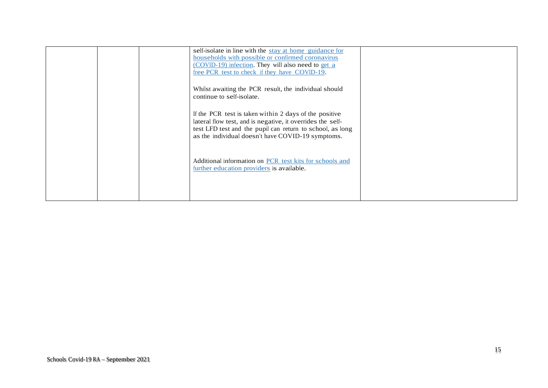| self-isolate in line with the stay at home guidance for<br>households with possible or confirmed coronavirus<br>(COVID-19) infection. They will also need to get a<br>free PCR test to check if they have COVID-19.                    |  |
|----------------------------------------------------------------------------------------------------------------------------------------------------------------------------------------------------------------------------------------|--|
| Whilst awaiting the PCR result, the individual should<br>continue to self-isolate.                                                                                                                                                     |  |
| If the PCR test is taken within 2 days of the positive<br>lateral flow test, and is negative, it overrides the self-<br>test LFD test and the pupil can return to school, as long<br>as the individual doesn't have COVID-19 symptoms. |  |
| Additional information on PCR test kits for schools and<br>further education providers is available.                                                                                                                                   |  |
|                                                                                                                                                                                                                                        |  |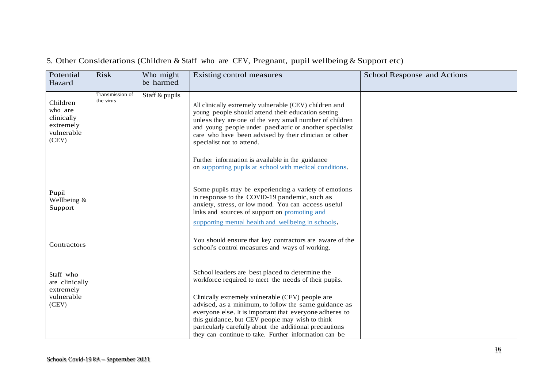# 5. Other Considerations (Children & Staff who are CEV, Pregnant, pupil wellbeing & Support etc)

| Potential<br>Hazard                                                   | <b>Risk</b>                  | Who might<br>be harmed | Existing control measures                                                                                                                                                                                                                                                                                                                                                                                                                 | School Response and Actions |
|-----------------------------------------------------------------------|------------------------------|------------------------|-------------------------------------------------------------------------------------------------------------------------------------------------------------------------------------------------------------------------------------------------------------------------------------------------------------------------------------------------------------------------------------------------------------------------------------------|-----------------------------|
| Children<br>who are<br>clinically<br>extremely<br>vulnerable<br>(CEV) | Transmission of<br>the virus | Staff & pupils         | All clinically extremely vulnerable (CEV) children and<br>young people should attend their education setting<br>unless they are one of the very small number of children<br>and young people under paediatric or another specialist<br>care who have been advised by their clinician or other<br>specialist not to attend.<br>Further information is available in the guidance<br>on supporting pupils at school with medical conditions. |                             |
| Pupil<br>Wellbeing &<br>Support                                       |                              |                        | Some pupils may be experiencing a variety of emotions<br>in response to the COVID-19 pandemic, such as<br>anxiety, stress, or low mood. You can access useful<br>links and sources of support on promoting and<br>supporting mental health and wellbeing in schools.                                                                                                                                                                      |                             |
| Contractors                                                           |                              |                        | You should ensure that key contractors are aware of the<br>school's control measures and ways of working.                                                                                                                                                                                                                                                                                                                                 |                             |
| Staff who<br>are clinically<br>extremely                              |                              |                        | School leaders are best placed to determine the<br>workforce required to meet the needs of their pupils.                                                                                                                                                                                                                                                                                                                                  |                             |
| vulnerable<br>(CEV)                                                   |                              |                        | Clinically extremely vulnerable (CEV) people are<br>advised, as a minimum, to follow the same guidance as<br>everyone else. It is important that everyone adheres to<br>this guidance, but CEV people may wish to think<br>particularly carefully about the additional precautions<br>they can continue to take. Further information can be                                                                                               |                             |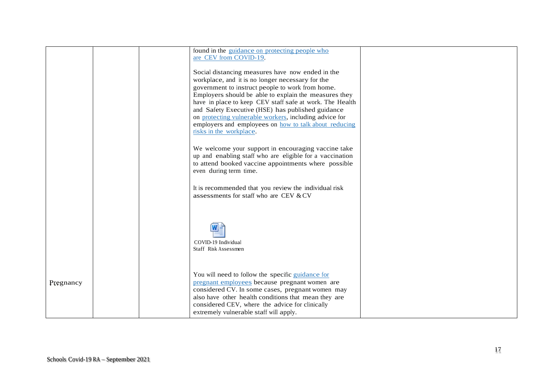|           |  | found in the guidance on protecting people who<br>are CEV from COVID-19.                                                                                                                                                                                                                                                                                                                                                                                                         |  |
|-----------|--|----------------------------------------------------------------------------------------------------------------------------------------------------------------------------------------------------------------------------------------------------------------------------------------------------------------------------------------------------------------------------------------------------------------------------------------------------------------------------------|--|
|           |  | Social distancing measures have now ended in the<br>workplace, and it is no longer necessary for the<br>government to instruct people to work from home.<br>Employers should be able to explain the measures they<br>have in place to keep CEV staff safe at work. The Health<br>and Safety Executive (HSE) has published guidance<br>on protecting vulnerable workers, including advice for<br>employers and employees on how to talk about reducing<br>risks in the workplace. |  |
|           |  | We welcome your support in encouraging vaccine take<br>up and enabling staff who are eligible for a vaccination<br>to attend booked vaccine appointments where possible<br>even during term time.                                                                                                                                                                                                                                                                                |  |
|           |  | It is recommended that you review the individual risk<br>assessments for staff who are CEV & CV                                                                                                                                                                                                                                                                                                                                                                                  |  |
|           |  | COVID-19 Individual<br>Staff Risk Assessmen                                                                                                                                                                                                                                                                                                                                                                                                                                      |  |
| Pregnancy |  | You will need to follow the specific guidance for<br>pregnant employees because pregnant women are<br>considered CV. In some cases, pregnant women may<br>also have other health conditions that mean they are<br>considered CEV, where the advice for clinically<br>extremely vulnerable staff will apply.                                                                                                                                                                      |  |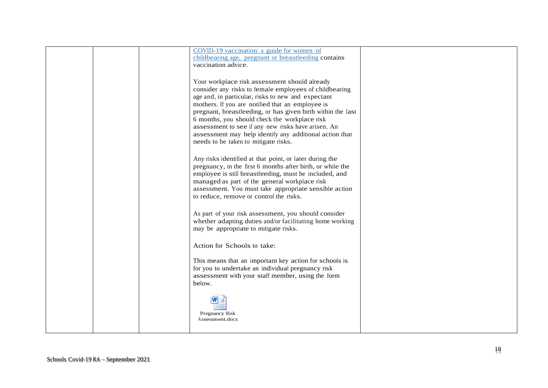|  | COVID-19 vaccination: a guide for women of<br>childbearing age, pregnant or breastfeeding contains                                                                                                                                                                                                                                                                                                                                                 |  |
|--|----------------------------------------------------------------------------------------------------------------------------------------------------------------------------------------------------------------------------------------------------------------------------------------------------------------------------------------------------------------------------------------------------------------------------------------------------|--|
|  | vaccination advice.                                                                                                                                                                                                                                                                                                                                                                                                                                |  |
|  | Your workplace risk assessment should already<br>consider any risks to female employees of childbearing<br>age and, in particular, risks to new and expectant<br>mothers. If you are notified that an employee is<br>pregnant, breastfeeding, or has given birth within the last<br>6 months, you should check the workplace risk<br>assessment to see if any new risks have arisen. An<br>assessment may help identify any additional action that |  |
|  | needs to be taken to mitigate risks.<br>Any risks identified at that point, or later during the<br>pregnancy, in the first 6 months after birth, or while the<br>employee is still breastfeeding, must be included, and<br>managed as part of the general workplace risk<br>assessment. You must take appropriate sensible action<br>to reduce, remove or control the risks.                                                                       |  |
|  | As part of your risk assessment, you should consider<br>whether adapting duties and/or facilitating home working<br>may be appropriate to mitigate risks.                                                                                                                                                                                                                                                                                          |  |
|  | Action for Schools to take:                                                                                                                                                                                                                                                                                                                                                                                                                        |  |
|  | This means that an important key action for schools is<br>for you to undertake an individual pregnancy risk<br>assessment with your staff member, using the form<br>below.                                                                                                                                                                                                                                                                         |  |
|  | Pregnancy Risk<br>Assessment.docx                                                                                                                                                                                                                                                                                                                                                                                                                  |  |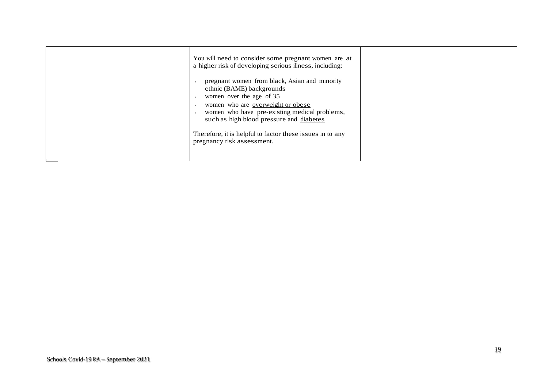| pregnant women from black, Asian and minority<br>ethnic (BAME) backgrounds<br>women over the age of 35<br>women who are overweight or obese<br>women who have pre-existing medical problems,<br>such as high blood pressure and diabetes<br>Therefore, it is helpful to factor these issues in to any<br>pregnancy risk assessment. |  | You will need to consider some pregnant women are at<br>a higher risk of developing serious illness, including: |  |
|-------------------------------------------------------------------------------------------------------------------------------------------------------------------------------------------------------------------------------------------------------------------------------------------------------------------------------------|--|-----------------------------------------------------------------------------------------------------------------|--|
|-------------------------------------------------------------------------------------------------------------------------------------------------------------------------------------------------------------------------------------------------------------------------------------------------------------------------------------|--|-----------------------------------------------------------------------------------------------------------------|--|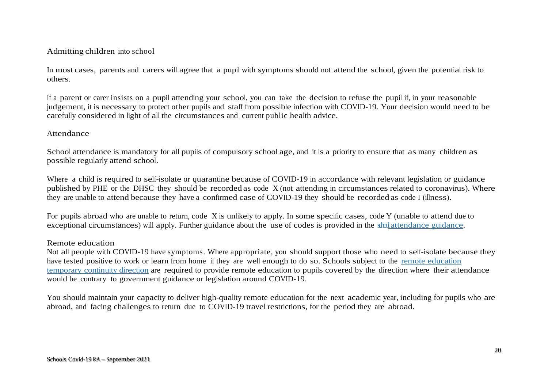### Admitting children into school

In most cases, parents and carers will agree that a pupil with symptoms should not attend the school, given the potential risk to others.

If a parent or carer insists on a pupil attending your school, you can take the decision to refuse the pupil if, in your reasonable judgement, it is necessary to protect other pupils and staff from possible infection with COVID-19. Your decision would need to be carefully considered in light of all the circumstances and current public health advice.

### Attendance

School attendance is mandatory for all pupils of compulsory school age, and it is a priority to ensure that as many children as possible regularly attend school.

Where a child is required to self-isolate or quarantine because of COVID-19 in accordance with relevant legislation or guidance published by PHE or the DHSC they should be recorded as code X (not attending in circumstances related to coronavirus). Where they are unable to attend because they have a confirmed case of COVID-19 they should be recorded as code I (illness).

For pupils abroad who are unable to return, code X is unlikely to apply. In some specific cases, code Y (unable to attend due to exceptional circumstances) will apply. Further guidance about the use of codes is provided in the strolatendance guidance.

#### Remote education

Not all people with COVID-19 have symptoms. Where appropriate, you should support those who need to self-isolate because they have tested positive to work or learn from home if they are well enough to do so. Schools subject to the remote education temporary continuity direction are required to provide remote education to pupils covered by the direction where their attendance would be contrary to government guidance or legislation around COVID-19.

You should maintain your capacity to deliver high-quality remote education for the next academic year, including for pupils who are abroad, and facing challenges to return due to COVID-19 travel restrictions, for the period they are abroad.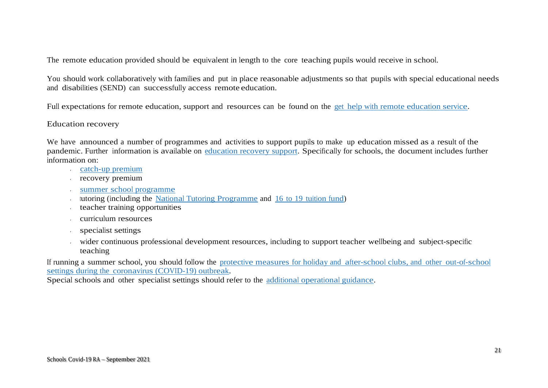The remote education provided should be equivalent in length to the core teaching pupils would receive in school.

You should work collaboratively with families and put in place reasonable adjustments so that pupils with special educational needs and disabilities (SEND) can successfully access remote education.

Full expectations for remote education, support and resources can be found on the get help with remote education service.

### Education recovery

We have announced a number of programmes and activities to support pupils to make up education missed as a result of the pandemic. Further information is available on education recovery support. Specifically for schools, the document includes further information on:

- catch-up premium
- recovery premium
- summer school programme
- tutoring (including the National Tutoring Programme and  $16$  to 19 tuition fund)
- teacher training opportunities
- curriculum resources
- specialist settings
- wider continuous professional development resources, including to support teacher wellbeing and subject-specific  $\tilde{\mathbf{z}}$ teaching

If running a summer school, you should follow the protective measures for holiday and after-school clubs, and other out-of-school settings during the coronavirus (COVID-19) outbreak.

Special schools and other specialist settings should refer to the additional operational guidance.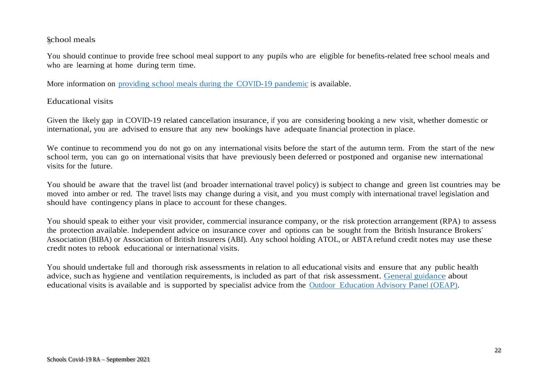### School meals

You should continue to provide free school meal support to any pupils who are eligible for benefits-related free school meals and who are learning at home during term time.

More information on providing school meals during the COVID-19 pandemic is available.

### Educational visits

Given the likely gap in COVID-19 related cancellation insurance, if you are considering booking a new visit, whether domestic or international, you are advised to ensure that any new bookings have adequate financial protection in place.

We continue to recommend you do not go on any international visits before the start of the autumn term. From the start of the new school term, you can go on international visits that have previously been deferred or postponed and organise new international visits for the future.

You should be aware that the travel list (and broader international travel policy) is subject to change and green list countries may be moved into amber or red. The travel lists may change during a visit, and you must comply with international travel legislation and should have contingency plans in place to account for these changes.

You should speak to either your visit provider, commercial insurance company, or the risk protection arrangement (RPA) to assess the protection available. Independent advice on insurance cover and options can be sought from the British Insurance Brokers' Association (BIBA) or Association of British Insurers (ABI). Any school holding ATOL, or ABTA refund credit notes may use these credit notes to rebook educational or international visits.

You should undertake full and thorough risk assessments in relation to all educational visits and ensure that any public health advice, such as hygiene and ventilation requirements, is included as part of that risk assessment. General guidance about educational visits is available and is supported by specialist advice from the Outdoor Education Advisory Panel (OEAP).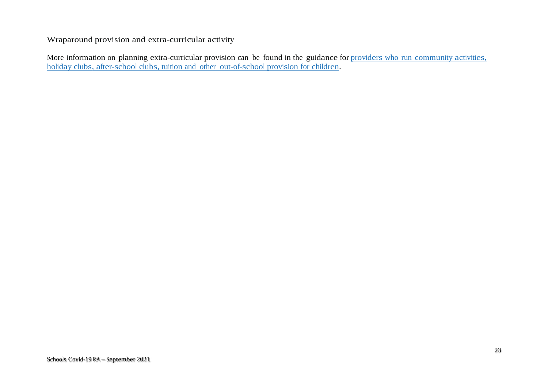Wraparound provision and extra-curricular activity

More information on planning extra-curricular provision can be found in the guidance for providers who run community activities, holiday clubs, after-school clubs, tuition and other out-of-school provision for children.